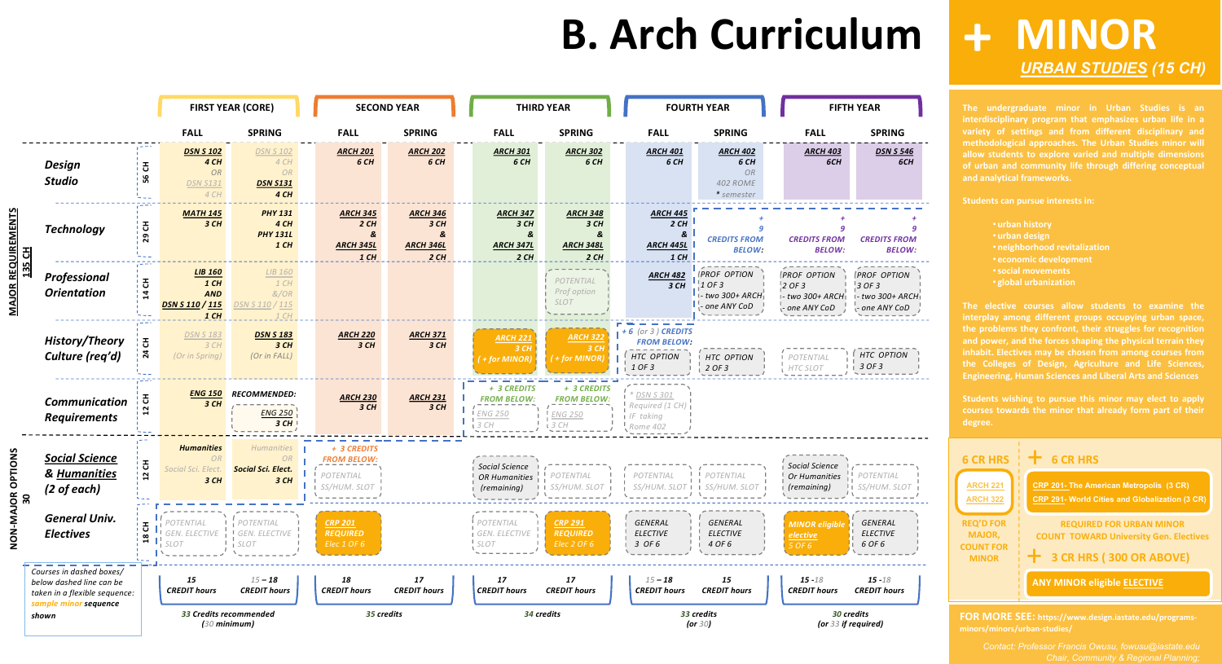# **B. Arch Curriculum**

**The undergraduate minor in Urban Studies is an interdisciplinary program that emphasizes urban life in a variety of settings and from different disciplinary and methodological approaches. The Urban Studies minor will allow students to explore varied and multiple dimensions of urban and community life through differing conceptual and analytical frameworks.**

- **urban history**
- **urban design**
- **neighborhood revitalization**
- **economic development**
- •**social movements**
- **global urbanization**

**interplay among different groups occupying urban space, the problems they confront, their struggles for recognition and power, and the forces shaping the physical terrain they inhabit. Electives may be chosen from among courses from the Colleges of Design, Agriculture and Life Sciences, Engineering, Human Sciences and Liberal Arts and Sciences**

**Students wishing to pursue this minor may elect to apply courses towards the minor that already form part of their degree.**

## **MINOR +** *[URBAN STUDIES](https://www.design.iastate.edu/programs-minors/minors/urban-studies/) (15 CH)*

**FOR MORE SEE: https://www.design.iastate.edu/programsminors/minors/urban-studies/**





### $- - - - -$ *POTENTIAL SS/HUM. SLOT*  $- - - - -$

|                            |                                                                                                                |                                                  |                                                                                                       | <b>FIRST YEAR (CORE)</b>                                    |                                                                | <b>SECOND YEAR</b>                                      |          | <b>THIRD YEAR</b>                                      |                                                            |  |                                                                   | <b>FOURTH YEAR</b>                                                    |                                                                  | <b>FIFTH YEAR</b>                                                    |  |
|----------------------------|----------------------------------------------------------------------------------------------------------------|--------------------------------------------------|-------------------------------------------------------------------------------------------------------|-------------------------------------------------------------|----------------------------------------------------------------|---------------------------------------------------------|----------|--------------------------------------------------------|------------------------------------------------------------|--|-------------------------------------------------------------------|-----------------------------------------------------------------------|------------------------------------------------------------------|----------------------------------------------------------------------|--|
|                            |                                                                                                                |                                                  | <b>FALL</b>                                                                                           | <b>SPRING</b>                                               | <b>FALL</b>                                                    | <b>SPRING</b>                                           |          | <b>FALL</b>                                            | <b>SPRING</b>                                              |  | <b>FALL</b>                                                       | <b>SPRING</b>                                                         | <b>FALL</b>                                                      | <b>SPRING</b>                                                        |  |
| <b>QUIR</b><br>135 CH<br>œ | <b>Design</b><br><b>Studio</b>                                                                                 | 공<br>56                                          | <b>DSN S 102</b><br>4CH<br><b>OR</b><br><b>DSN S131</b><br>4 CH                                       | <b>DSN S 102</b><br>4 CH<br>OR<br><b>DSN S131</b><br>4 CH   | <b>ARCH 201</b><br>6 CH                                        | <b>ARCH 202</b><br>6 CH                                 |          | <b>ARCH 301</b><br>6 CH                                | <b>ARCH 302</b><br>6 CH                                    |  | <b>ARCH 401</b><br>6 CH                                           | <b>ARCH 402</b><br>6 CH<br><b>OR</b><br><b>402 ROME</b><br>* semester | <b>ARCH 403</b><br>6CH                                           | <b>DSN S 546</b><br>6CH                                              |  |
|                            | <b>Technology</b>                                                                                              | $\boldsymbol{\ddot{\texttt{5}}}$<br>29           | <b>MATH 145</b><br>3CH                                                                                | <b>PHY 131</b><br>4 CH<br><b>PHY 131L</b><br>$1$ CH         | <b>ARCH 345</b><br>2CH<br>&<br><b>ARCH 345L</b><br>$1$ CH      | <b>ARCH 346</b><br>3 CH<br>&<br><b>ARCH 346L</b><br>2CH |          | <b>ARCH 347</b><br>3CH<br>&<br><b>ARCH 347L</b><br>2CH | <b>ARCH 348</b><br>3 CH<br>&<br><b>ARCH 348L</b><br>2CH    |  | <b>ARCH 445</b><br>2CH<br>&<br><b>ARCH 445L</b><br>$1$ CH         | <b>g</b><br><b>CREDITS FROM</b><br><b>BELOW:</b>                      | <b>CREDITS FROM</b><br><b>BELOW:</b>                             | <b>CREDITS FROM</b><br><b>BELOW:</b>                                 |  |
|                            | Professional<br><b>Orientation</b>                                                                             | $\overline{c}$<br>$\mathbf{a}$                   | <b>LIB 160</b><br>$1$ CH<br><b>AND</b><br><b>DSN S 110 / 115</b><br>$1$ CH                            | LIB 160<br>1 CH<br>&/OR<br>DSN S 110 / 115<br>1 CH          |                                                                |                                                         |          |                                                        | POTENTIAL<br>Prof option<br><b>SLOT</b>                    |  | <b>ARCH 482</b><br>3 CH                                           | <b>PROF OPTION</b><br>1 OF 3<br>1- two 300+ ARCH <br>one ANY CoD      | <b>PROF OPTION</b><br>2 OF 3<br>- two 300+ ARCH<br>- one ANY CoD | <b>PROF OPTION</b><br>$3$ OF 3<br>I- two 300+ ARCHI<br>- one ANY CoD |  |
|                            | History/Theory<br>Culture (req'd)                                                                              | 공<br>$\mathbf{z}$                                | <b>DSN S 183</b><br>3 CH<br>(Or in Spring)                                                            | <b>DSN S 183</b><br>3 CH<br>(Or in FALL)                    | <b>ARCH 220</b><br>3 CH                                        | <b>ARCH 371</b><br>3 CH                                 |          | <b>ARCH 221</b><br>3CH<br>(+for MINOR)                 | <b>ARCH 322</b><br>3 CH<br>$H$ + for MINOR                 |  | $+6$ (or 3) CREDITS<br><b>FROM BELOW:</b><br>HTC OPTION<br>1 OF 3 | HTC OPTION<br>2 OF 3                                                  | <b>I POTENTIAL</b><br>HTC SLOT                                   | HTC OPTION<br>$\frac{1}{2}$ 3 OF 3                                   |  |
|                            | <b>Communication</b><br><b>Requirements</b>                                                                    | 공                                                | <b>ENG 150</b><br>3CH                                                                                 | <b>RECOMMENDED:</b><br><b>ENG 250</b><br>3CH                | <b>ARCH 230</b><br>3 CH                                        | <b>ARCH 231</b><br>3 CH                                 | 3CH      | + 3 CREDITS<br><b>FROM BELOW:</b><br><b>ENG 250</b>    | + 3 CREDITS<br><b>FROM BELOW:</b><br><b>ENG 250</b><br>3CH |  | DSN S 301<br>Required (1 CH)<br>IF taking<br>Rome 402             |                                                                       |                                                                  |                                                                      |  |
| <b>NOIL</b><br>ō           | <b>Social Science</b><br>& Humanities<br>$(2 \text{ of each})$                                                 | $\boldsymbol{\ddot{\textbf{5}}}$<br>$\mathbf{r}$ | <b>Humanities</b><br><b>OR</b><br>Social Sci. Elect.<br>3CH                                           | <b>Humanities</b><br>OR<br><b>Social Sci. Elect.</b><br>3CH | + 3 CREDITS<br><b>FROM BELOW:</b><br>POTENTIAL<br>SS/HUM. SLOT |                                                         |          | Social Science<br>OR Humanities<br>(remaining)         | POTENTIAL<br>SS/HUM. SLOT                                  |  | POTENTIAL<br>SS/HUM. SLOT I I SS/HUM. SLOT                        | POTENTIAL                                                             | Social Science<br>Or Humanities<br>(remaining)                   | POTENTIAL<br>SS/HUM.                                                 |  |
| MAJOR<br>30<br>Ż<br>O<br>Z | <b>General Univ.</b><br><b>Electives</b>                                                                       | Œ.<br>ပ                                          | POTENTIAL<br>GEN. ELECTIVE  <br>$\frac{1}{1}$ $\frac{1}{7}$ $\frac{1}{1}$ $\frac{1}{5}$ $\frac{1}{2}$ | POTENTIAL<br>GEN. ELECTIVE<br><b>SLOT</b>                   | <b>CRP 201</b><br><b>REQUIRED</b><br>Elec 1 OF 6               |                                                         | $!$ SLOT | POTENTIAL<br>I GEN. ELECTIVE                           | <b>CRP 291</b><br><b>REQUIRED</b><br>Elec 2 OF 6           |  | GENERAL<br><b>ELECTIVE</b><br>3 OF 6                              | GENERAL<br><b>ELECTIVE</b><br>4 OF 6                                  | <b>MINOR eliaibl</b><br>elective<br>5 OF 6                       | GENERAL<br><b>ELECTIVE</b><br>6 OF 6                                 |  |
|                            | Courses in dashed boxes/<br>below dashed line can be<br>taken in a flexible sequence:<br>sample minor sequence |                                                  | 15<br><b>CREDIT hours</b>                                                                             | $15 - 18$<br><b>CREDIT hours</b>                            | 18<br><b>CREDIT hours</b>                                      | 17<br><b>CREDIT hours</b>                               |          | 17<br><b>CREDIT hours</b>                              | 17<br><b>CREDIT hours</b>                                  |  | $15 - 18$<br><b>CREDIT hours</b>                                  | 15<br><b>CREDIT hours</b>                                             | $15 - 18$<br><b>CREDIT hours</b>                                 | $15 - 18$<br><b>CREDIT hours</b>                                     |  |
|                            | shown                                                                                                          |                                                  |                                                                                                       | 33 Credits recommended<br>$(30$ minimum)                    |                                                                | 35 credits                                              |          | 34 credits                                             |                                                            |  |                                                                   | 33 credits<br>(or $30$ )                                              | 30 credits<br>(or 33 if required)                                |                                                                      |  |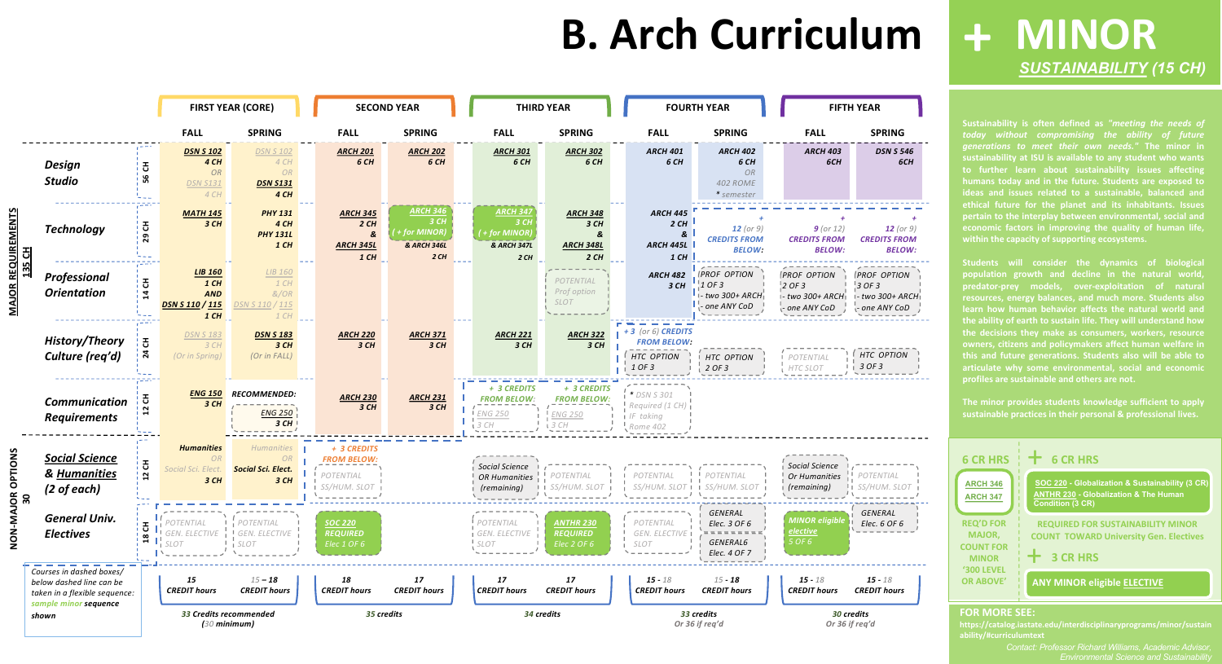# **B. Arch Curriculum**

**Sustainability is often defined as** *"meeting the needs of today without compromising the ability of future generations to meet their own needs."* **The minor in to further learn about sustainability issues affecting humans today and in the future. Students are exposed to ideas and issues related to a sustainable, balanced and ethical future for the planet and its inhabitants. Issues pertain to the interplay between environmental, social and economic factors in improving the quality of human life, within the capacity of supporting ecosystems.**

> *Contact: Professor Richard Williams, Academic Advisor, Environmental Science and Sustainab*

**Students will consider the dynamics of biological population growth and decline in the natural world, predator-prey models, over-exploitation of natural resources, energy balances, and much more. Students also learn how human behavior affects the natural world and the ability of earth to sustain life. They will understand how the decisions they make as consumers, workers, resource owners, citizens and policymakers affect human welfare in this and future generations. Students also will be able to profiles are sustainable and others are not.**

**The minor provides students knowledge sufficient to apply sustainable practices in their personal & professional lives.**

### **MINOR +** *[SUSTAINABILITY](https://catalog.iastate.edu/interdisciplinaryprograms/minor/sustainability/) (15 CH)*

### **FOR MORE SEE:**

**https://catalog.iastate.edu/interdisciplinaryprograms/minor/sustain ability/#curriculumtext**





### *DSN S 546 6CH*

*15 - 18 CREDIT hours*

*HTC OPTION* 

*+ 12 (or 9) CREDITS FROM BELOW:*

*POTENTIAL SS/HUM. SLOT*

*GENERAL Elec. 6 OF 6*

*PROF OPTION - two 300+ ARCH - one ANY CoD*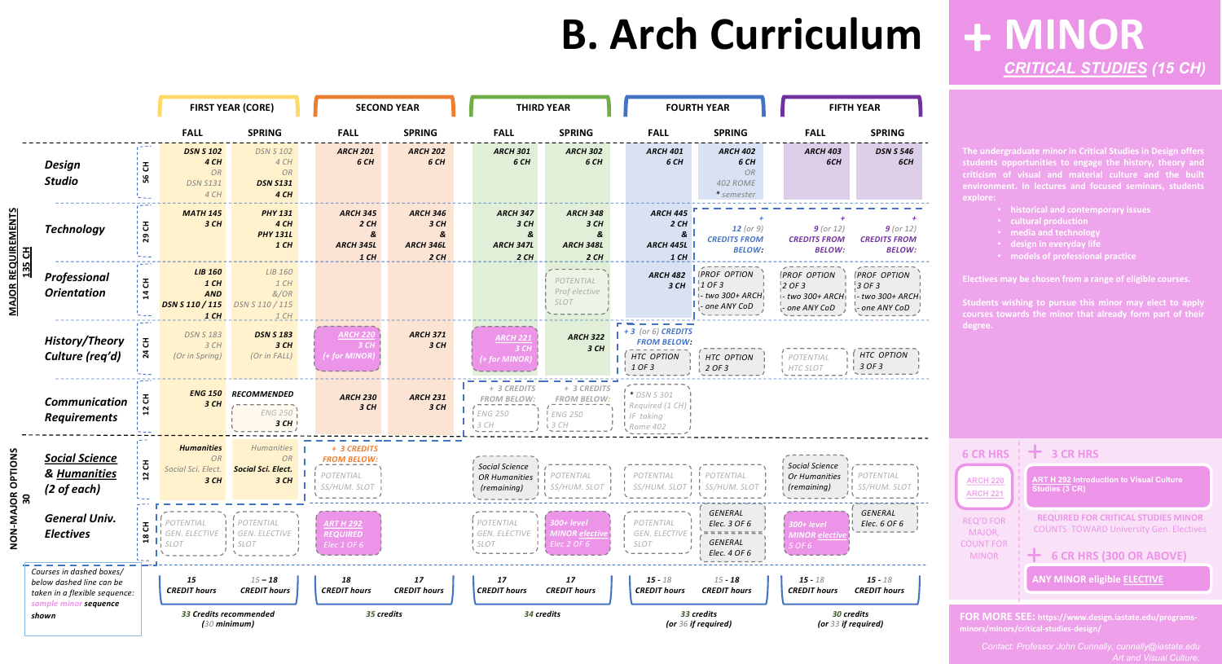|                                                    |                                                                                                                |                   |                                                                                                                                                                                                             | <b>FIRST YEAR (CORE)</b>                                           |  |                                                                | <b>SECOND YEAR</b>                                      |  |                                                                 | <b>THIRD YEAR</b>                                           |  |                                                                          | <b>FOURTH YEAR</b>                                                       |                                                                    | <b>FIFTH YEAR</b>                                        |
|----------------------------------------------------|----------------------------------------------------------------------------------------------------------------|-------------------|-------------------------------------------------------------------------------------------------------------------------------------------------------------------------------------------------------------|--------------------------------------------------------------------|--|----------------------------------------------------------------|---------------------------------------------------------|--|-----------------------------------------------------------------|-------------------------------------------------------------|--|--------------------------------------------------------------------------|--------------------------------------------------------------------------|--------------------------------------------------------------------|----------------------------------------------------------|
|                                                    |                                                                                                                |                   | <b>FALL</b>                                                                                                                                                                                                 | <b>SPRING</b>                                                      |  | <b>FALL</b>                                                    | <b>SPRING</b>                                           |  | <b>FALL</b>                                                     | <b>SPRING</b>                                               |  | <b>FALL</b>                                                              | <b>SPRING</b>                                                            | <b>FALL</b>                                                        | SF                                                       |
|                                                    | <b>Design</b><br><b>Studio</b>                                                                                 | 공<br>G<br>n.      | <b>DSN S 102</b><br>4 CH<br><b>OR</b><br><b>DSN S131</b><br>4 CH                                                                                                                                            | <b>DSN S 102</b><br>4 CH<br>${\cal OR}$<br><b>DSN S131</b><br>4 CH |  | <b>ARCH 201</b><br>6 CH                                        | <b>ARCH 202</b><br>6 CH                                 |  | <b>ARCH 301</b><br>6 CH                                         | <b>ARCH 302</b><br>6 CH                                     |  | <b>ARCH 401</b><br>6 CH                                                  | <b>ARCH 402</b><br>6 CH<br>OR<br><b>402 ROME</b><br>* semester           | <b>ARCH 403</b><br>6CH                                             |                                                          |
| <b>MAJOR REQUIREMENTS</b><br>$\overline{5}$<br>135 | <b>Technology</b>                                                                                              | Ŧ<br>29           | <b>MATH 145</b><br>3CH                                                                                                                                                                                      | <b>PHY 131</b><br>4 CH<br><b>PHY 131L</b><br>$1$ CH                |  | <b>ARCH 345</b><br>2CH<br>&<br><b>ARCH 345L</b><br>$1$ CH      | <b>ARCH 346</b><br>3 CH<br>&<br><b>ARCH 346L</b><br>2CH |  | <b>ARCH 347</b><br>3CH<br>&<br><b>ARCH 347L</b><br>2CH          | <b>ARCH 348</b><br>3 CH<br>&<br><b>ARCH 348L</b><br>2CH     |  | <b>ARCH 445</b><br>2CH<br>&<br><b>ARCH 445L</b><br>$1$ CH                | 12 (or $9)$<br><b>CREDITS FROM</b><br><b>BELOW:</b>                      | $9$ (or 12)<br><b>CREDITS FROM</b><br><b>BELOW:</b>                | <b>CRED</b>                                              |
|                                                    | Professional<br><b>Orientation</b>                                                                             | 공<br>한            | <b>LIB 160</b><br>$1$ CH<br><b>AND</b><br><b>DSN S 110 / 115</b><br>$1$ CH                                                                                                                                  | LIB 160<br>1 CH<br>&/OR<br>DSN S 110 / 115<br>1CH                  |  |                                                                |                                                         |  |                                                                 | POTENTIAL<br>Prof elective<br><b>SLOT</b>                   |  | <b>ARCH 482</b><br>3CH                                                   | PROF OPTION<br>! OF 3<br>i - two 300+ ARCH <mark>i</mark><br>one ANY CoD | <b>PROF OPTION</b><br>2 OF 3<br>I- two 300+ ARCHI<br>- one ANY CoD | <i><b>PROF</b></i><br>$3$ OF 3<br>$1 - two:$<br>¦- one ∤ |
|                                                    | <b>History/Theory</b><br>Culture (req'd)                                                                       | 공<br>$\mathbf{z}$ | <b>DSN S 183</b><br>3CH<br>(Or in Spring)                                                                                                                                                                   | <b>DSN S 183</b><br>3CH<br>(Or in FALL)                            |  | <b>ARCH 220</b><br>3 CH<br>(+ for MINOR)                       | <b>ARCH 371</b><br>3CH                                  |  | <b>ARCH 221</b><br>3CH<br>+ for MINOR)                          | <b>ARCH 322</b><br>3CH                                      |  | $+3$ (or 6) CREDITS<br><b>FROM BELOW:</b><br><b>HTC OPTION</b><br>1 OF 3 | HTC OPTION<br>2 OF 3                                                     | POTENTIA<br>HTC SLOT                                               | HTC<br>$3$ OF.                                           |
|                                                    | Communication<br><b>Requirements</b>                                                                           | 품.                | <b>ENG 150</b><br>3 CH                                                                                                                                                                                      | <b>RECOMMENDED</b><br><b>ENG 250</b><br>3CH                        |  | <b>ARCH 230</b><br>3 CH                                        | <b>ARCH 231</b><br>3 CH                                 |  | + 3 CREDITS<br><b>FROM BELOW:</b><br><b>I ENG 250</b><br>: 3 CH | + 3 CREDITS<br><b>FROM BELOW:</b><br><b>ENG 250</b><br>3 CH |  | * DSN S 301<br>Required (1 CH)<br>IF taking<br>Rome 402                  |                                                                          |                                                                    |                                                          |
| <b>MAJOR OPTIONS</b><br>30                         | <b>Social Science</b><br>& Humanities<br>(2 of each)                                                           | 공<br>$\mathbf{z}$ | <b>Humanities</b><br><b>OR</b><br>Social Sci. Elect.<br>3 CH                                                                                                                                                | Humanities<br>OR<br><b>Social Sci. Elect.</b><br>3 CH              |  | + 3 CREDITS<br><b>FROM BELOW:</b><br>POTENTIAL<br>SS/HUM. SLOT |                                                         |  | Social Science<br>OR Humanities $\frac{1}{1}$<br>(remaining)    | POTENTIAL<br><b>I</b> I SS/HUM. SLOT                        |  | <b>I</b> POTENTIAL<br>SS/HUM. SLOT 1 1 SS/HUM. SLO                       | POTENTIAL                                                                | Social Science<br>Or Humanities<br>(remaining)                     | POTEI<br>SS/HU                                           |
| <b>NON</b>                                         | <b>General Univ.</b><br><b>Electives</b>                                                                       |                   | $\mathbf{F}$ $\mathbf{F}$ POTENTIAL<br>$\begin{array}{c} \n\mathbf{Q} \parallel_1 \\ \n\mathbf{Q} \parallel_1 \n\end{array}$ $\begin{array}{c} \n\mathbf{S} \text{EN} \cdot \n\end{array}$<br>GEN. ELECTIVE | POTENTIAL<br>GEN. ELECTIVE<br>i SLOT                               |  | <b>ART H 292</b><br><b>REQUIRED</b><br>Elec 1 OF 6             |                                                         |  | POTENTIAL<br>GEN. ELECTIVE<br>$!$ SLOT                          | 300+ level<br>MINOR <u>elective</u><br>:lec 2 OF 6          |  | POTENTIAL<br>GEN. ELECTIVE I<br><b>SLOT</b>                              | GENERAL<br>Elec. 3 OF 6<br>GENERAL<br>Elec. 4 OF 6                       | $300+level$<br><b>MINOR elective</b><br>5 OF 6                     | GENE<br>Elec.                                            |
|                                                    | Courses in dashed boxes/<br>below dashed line can be<br>taken in a flexible sequence:<br>sample minor sequence |                   | 15<br><b>CREDIT hours</b>                                                                                                                                                                                   | $15 - 18$<br><b>CREDIT hours</b>                                   |  | 18<br><b>CREDIT hours</b>                                      | 17<br><b>CREDIT hours</b>                               |  | 17<br><b>CREDIT hours</b>                                       | 17<br><b>CREDIT hours</b>                                   |  | $15 - 18$<br><b>CREDIT hours</b>                                         | $15 - 18$<br><b>CREDIT hours</b>                                         | $15 - 18$<br><b>CREDIT hours</b>                                   | $15 -$<br><b>CREDIT</b>                                  |
|                                                    | shown                                                                                                          |                   | 33 Credits recommended<br>$(30$ minimum)                                                                                                                                                                    |                                                                    |  | 35 credits                                                     |                                                         |  | 34 credits                                                      |                                                             |  | 33 credits<br>(or 36 if required)                                        | 30 credits<br>(or 33 if required                                         |                                                                    |                                                          |



# **B. Arch Curriculum**

**The undergraduate minor in Critical Studies in Design offers students opportunities to engage the history, theory and criticism of visual and material culture and the built**

- **historical and contemporary issues**
- **cultural production**
- **media and technology**
- **design in everyday life**
- 

**Electives may be chosen from a range of eligible courses.**

**Students wishing to pursue this minor may elect to apply degree.**

## **MINOR +** *[CRITICAL STUDIES](https://www.design.iastate.edu/programs-minors/minors/critical-studies-design/) (15 CH)*

**FOR MORE SEE: https://www.design.iastate.edu/programsminors/minors/critical-studies-design/**

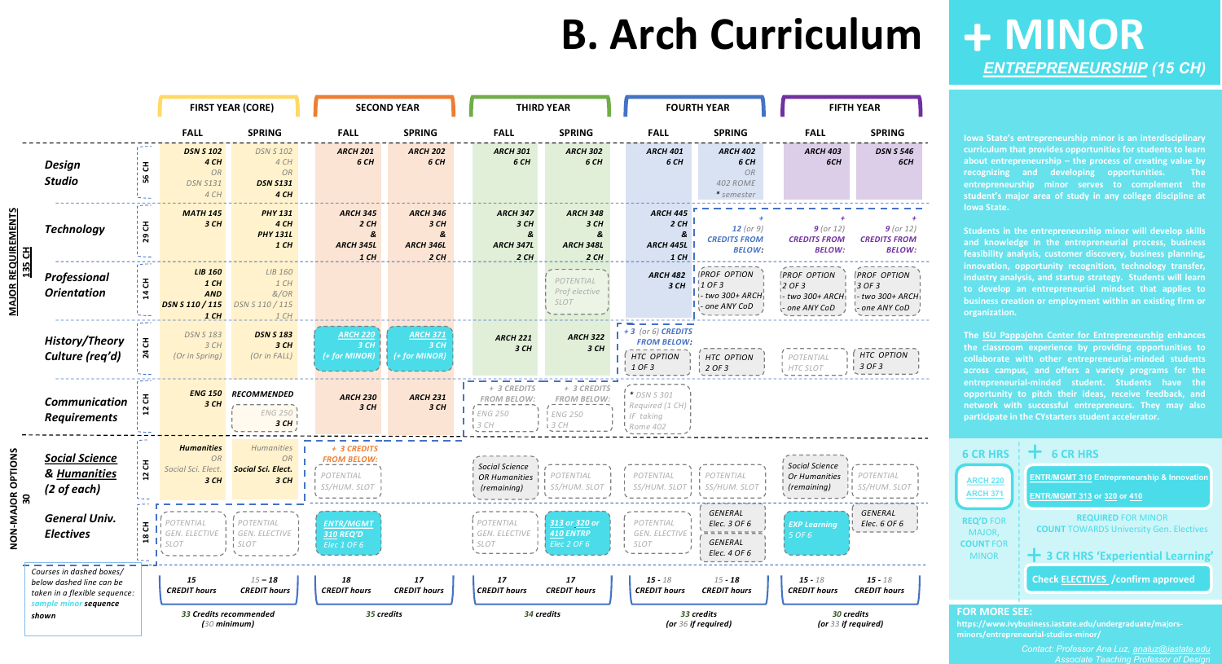### **FALL SPRING** *DSN S 546 6CH* <u> Engineeri</u> *+ 9 (or 12) CREDITS FROM BELOW:* ---------- $\cdots \cdots \cdots \cdots$ *OPTION - two 300+ ARCH ANY CoD*<br>————————— والمستحدث والمستحد **OPTION** *3 OF 3* . . . . . . . . .  $\frac{1}{2} \frac{1}{2} \frac{1}{2} \frac{1}{2} \frac{1}{2} \frac{1}{2} \frac{1}{2} \frac{1}{2} \frac{1}{2} \frac{1}{2} \frac{1}{2} \frac{1}{2} \frac{1}{2} \frac{1}{2} \frac{1}{2} \frac{1}{2} \frac{1}{2} \frac{1}{2} \frac{1}{2} \frac{1}{2} \frac{1}{2} \frac{1}{2} \frac{1}{2} \frac{1}{2} \frac{1}{2} \frac{1}{2} \frac{1}{2} \frac{1}{2} \frac{1}{2} \frac{1}{2} \frac{1}{2} \frac{$

|                            |                                                                                                                |                                              |                                                                            | <b>FIRST YEAR (CORE)</b>                                         |                                                                | <b>SECOND YEAR</b>                                      | <b>THIRD YEAR</b>                                            |                                                             |  |                                                                          | <b>FOURTH YEAR</b>                                                    |                                   |                                                                    | <b>FIFTH YEAR</b>                                                    |  |
|----------------------------|----------------------------------------------------------------------------------------------------------------|----------------------------------------------|----------------------------------------------------------------------------|------------------------------------------------------------------|----------------------------------------------------------------|---------------------------------------------------------|--------------------------------------------------------------|-------------------------------------------------------------|--|--------------------------------------------------------------------------|-----------------------------------------------------------------------|-----------------------------------|--------------------------------------------------------------------|----------------------------------------------------------------------|--|
|                            |                                                                                                                |                                              | <b>FALL</b>                                                                | <b>SPRING</b>                                                    | <b>FALL</b>                                                    | <b>SPRING</b>                                           | <b>FALL</b>                                                  | <b>SPRING</b>                                               |  | <b>FALL</b>                                                              | <b>SPRING</b>                                                         |                                   | <b>FALL</b>                                                        | <b>SPRING</b>                                                        |  |
| <b>2DUIR</b><br>리<br>135   | <b>Design</b><br><b>Studio</b>                                                                                 | 공<br>56                                      | <b>DSN S 102</b><br>4 CH<br><b>OR</b><br><b>DSN S131</b><br>4 CH           | <b>DSN S 102</b><br>4 CH<br><b>OR</b><br><b>DSN S131</b><br>4 CH | <b>ARCH 201</b><br>6 CH                                        | <b>ARCH 202</b><br>6 CH                                 | <b>ARCH 301</b><br>6 CH                                      | <b>ARCH 302</b><br>6 CH                                     |  | <b>ARCH 401</b><br>6 CH                                                  | <b>ARCH 402</b><br>6 CH<br><b>OR</b><br><b>402 ROME</b><br>* semester |                                   | <b>ARCH 403</b><br>6CH                                             | <b>DSN S 546</b><br>6CH                                              |  |
|                            | <b>Technology</b>                                                                                              | 공<br>29                                      | <b>MATH 145</b><br>3CH                                                     | <b>PHY 131</b><br>4 CH<br><b>PHY 131L</b><br>$1$ CH              | <b>ARCH 345</b><br>2CH<br>&<br><b>ARCH 345L</b><br>$1$ CH      | <b>ARCH 346</b><br>3 CH<br>&<br><b>ARCH 346L</b><br>2CH | <b>ARCH 347</b><br>3CH<br>&<br><b>ARCH 347L</b><br>2CH       | <b>ARCH 348</b><br>3CH<br>&<br><b>ARCH 348L</b><br>2CH      |  | <b>ARCH 445</b><br>2CH<br>&<br><b>ARCH 445L</b><br>$1$ CH                | 12 (or $9)$<br><b>CREDITS FROM</b><br><b>BELOW:</b>                   |                                   | $9$ (or 12)<br><b>CREDITS FROM</b><br><b>BELOW:</b>                | $9$ (or 12)<br><b>CREDITS FROM</b><br><b>BELOW:</b>                  |  |
|                            | Professional<br><b>Orientation</b>                                                                             | 舌<br>$\vec{a}$                               | <b>LIB 160</b><br>$1$ CH<br><b>AND</b><br><b>DSN S 110 / 115</b><br>$1$ CH | LIB 160<br>1 CH<br>&/OR<br>DSN S 110 / 115<br>1 CH               |                                                                |                                                         |                                                              | POTENTIAL<br>Prof elective<br><b>SLOT</b>                   |  | <b>ARCH 482</b><br>3 CH                                                  | PROF OPTION<br>! OF 3<br>i - two 300+ ARCH<br>one ANY CoD             |                                   | <b>PROF OPTION</b><br>$2$ OF 3<br>- two 300+ ARCH<br>- one ANY CoD | <b>PROF OPTION</b><br>$3$ OF 3<br>1- two 300+ ARCH1<br>- one ANY CoD |  |
|                            | <b>History/Theory</b><br>Culture (req'd)                                                                       | 공<br>$\mathbf{z}$                            | <b>DSN S 183</b><br>3CH<br>(Or in Spring)                                  | <b>DSN S 183</b><br>3 CH<br>(Or in FALL)                         | <b>ARCH 220</b><br>3 <sub>ch</sub><br>(+ for MINOR)            | <b>ARCH 371</b><br>3CH<br>(+ for MINOR)                 | <b>ARCH 221</b><br>3 CH                                      | <b>ARCH 322</b><br>3CH                                      |  | $+3$ (or 6) CREDITS<br><b>FROM BELOW:</b><br><b>HTC OPTION</b><br>1 OF 3 | <b>HTC OPTION</b><br>2 OF 3                                           |                                   | <b>I POTENTIAL</b><br>$HTC$ SLOT                                   | HTC OPTION<br>3 OF 3                                                 |  |
|                            | Communication<br><b>Requirements</b>                                                                           | 공                                            | <b>ENG 150</b><br>3CH                                                      | <b>RECOMMENDED</b><br>ENG 250<br>3CH                             | <b>ARCH 230</b><br>3 CH                                        | <b>ARCH 231</b><br>3 CH                                 | + 3 CREDITS<br><b>FROM BELOW:</b><br><b>ENG 250</b><br>3CH   | + 3 CREDITS<br><b>FROM BELOW:</b><br><b>ENG 250</b><br>3 CH |  | * DSN S 301<br>Required (1 CH)<br>$IF$ taking<br>Rome 402                |                                                                       |                                   |                                                                    |                                                                      |  |
| Õ                          | <b>Social Science</b><br>& Humanities<br>$(2 \text{ of each})$                                                 | $\overline{c}$<br>$\mathbf{r}$               | <b>Humanities</b><br><b>OR</b><br>Social Sci. Elect.<br>3CH                | Humanities<br>OR<br><b>Social Sci. Elect.</b><br>3 CH            | + 3 CREDITS<br><b>FROM BELOW:</b><br>POTENTIAL<br>SS/HUM. SLOT |                                                         | Social Science<br>OR Humanities $\frac{1}{1}$<br>(remaining) | POTENTIAL<br>i <i>SS/HUM. SLO</i> T                         |  | POTENTIAL<br>SS/HUM. SLOT 1 1                                            | POTENTIAL<br>SS/HUM. SLOT                                             |                                   | Social Science<br>Or Humanities<br>(remaining)                     | POTENTIAL<br><i>SS/HUM. SLO</i>                                      |  |
| MAJOR<br>30<br>Ż<br>O<br>Z | <b>General Univ.</b><br><b>Electives</b>                                                                       | H.<br>$\mathbf{\mathsf{C}}$<br>$\mathbf{18}$ | POTENTIAL<br>$\prod_{i}^{1}$ SLOT                                          | POTENTIAL<br>GEN. ELECTIVE   GEN. ELECTIVE<br>SLOT               | <b>ENTR/MGMT</b><br>310 REQ'D<br>Elec 1 OF 6                   |                                                         | POTENTIAL<br>GEN. ELECTIVE<br>$!$ SLOT                       | 313 or 320 or<br><b>410 ENTRP</b><br>Elec 2 OF 6            |  | POTENTIAL<br>GEN. ELECTIVE<br>SLOT                                       | GENERAL<br>Elec. 3 OF 6<br>GENERAL<br>Elec. 4 OF 6                    |                                   | <b>EXP Learning</b><br>5 OF 6                                      | GENERAL<br>Elec. 6 OF 6                                              |  |
|                            | Courses in dashed boxes/<br>below dashed line can be<br>taken in a flexible sequence:<br>sample minor sequence |                                              | 15<br><b>CREDIT hours</b>                                                  | $15 - 18$<br><b>CREDIT hours</b>                                 | 18<br><b>CREDIT hours</b>                                      | 17<br><b>CREDIT hours</b>                               | 17<br><b>CREDIT hours</b>                                    | 17<br><b>CREDIT hours</b>                                   |  | $15 - 18$<br><b>CREDIT hours</b>                                         | $15 - 18$<br><b>CREDIT hours</b>                                      |                                   | $15 - 18$<br><b>CREDIT hours</b>                                   | $15 - 18$<br><b>CREDIT hours</b>                                     |  |
|                            | shown                                                                                                          |                                              |                                                                            | 33 Credits recommended<br>$(30$ minimum)                         |                                                                | 35 credits                                              |                                                              | 34 credits                                                  |  |                                                                          | 33 credits<br>(or 36 if required)                                     | 30 credits<br>(or 33 if required) |                                                                    |                                                                      |  |

# **B. Arch Curriculum**

**Iowa State's entrepreneurship minor is an interdisciplinary curriculum that provides opportunities for students to learn about entrepreneurship – the process of creating value by recognizing and developing opportunities. The entrepreneurship minor serves to complement the student's major area of study in any college discipline at Iowa State.**

**Students in the entrepreneurship minor will develop skills and knowledge in the entrepreneurial process, business feasibility analysis, customer discovery, business planning, innovation, opportunity recognition, technology transfer, industry analysis, and startup strategy. Students will learn to develop an entrepreneurial mindset that applies to business creation or employment within an existing firm or organization.**

**The ISU Pappajohn Center for [Entrepreneurship](http://www.isupjcenter.org/) enhances the classroom experience by providing opportunities to collaborate with other entrepreneurial-minded students across campus, and offers a variety programs for the entrepreneurial-minded student. Students have the opportunity to pitch their ideas, receive feedback, and network with successful entrepreneurs. They may also participate in the CYstarters student accelerator.**

## **MINOR +** *[ENTREPRENEURSHIP](https://www.ivybusiness.iastate.edu/undergraduate/majors-minors/entrepreneurial-studies-minor/) (15 CH)*

*Contact: Professor Ana Luz, [analuz@iastate.edu](mailto:analuz@iastate.edu) Associate Teaching Professor of Design*

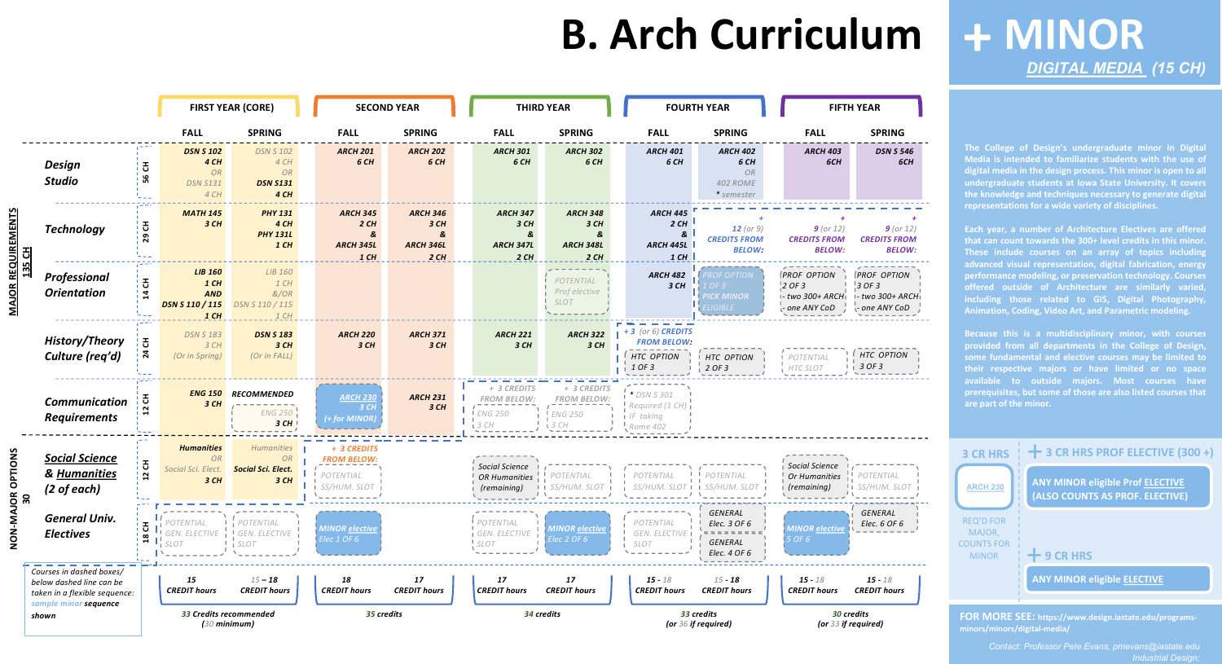|                                     |                                                                                                                |                     |                                                                            | <b>FIRST YEAR (CORE)</b>                                         |  | <b>SECOND YEAR</b>                                             |                                                         |  | <b>THIRD YEAR</b>                                            |                                                               |  |                                                                          | <b>FOURTH YEAR</b>                                             |                                   |                                                                      | <b>FIFTH YEAR</b>                                                    |  |
|-------------------------------------|----------------------------------------------------------------------------------------------------------------|---------------------|----------------------------------------------------------------------------|------------------------------------------------------------------|--|----------------------------------------------------------------|---------------------------------------------------------|--|--------------------------------------------------------------|---------------------------------------------------------------|--|--------------------------------------------------------------------------|----------------------------------------------------------------|-----------------------------------|----------------------------------------------------------------------|----------------------------------------------------------------------|--|
|                                     |                                                                                                                |                     | <b>FALL</b>                                                                | <b>SPRING</b>                                                    |  | <b>FALL</b>                                                    | <b>SPRING</b>                                           |  | <b>FALL</b>                                                  | <b>SPRING</b>                                                 |  | <b>FALL</b>                                                              | <b>SPRING</b>                                                  |                                   | <b>FALL</b>                                                          | <b>SPRING</b>                                                        |  |
|                                     | <b>Design</b><br><b>Studio</b>                                                                                 | 공<br>95             | <b>DSN S 102</b><br>4 CH<br><b>OR</b><br><b>DSN S131</b><br>4 CH           | <b>DSN S 102</b><br>4 CH<br><b>OR</b><br><b>DSN S131</b><br>4 CH |  | <b>ARCH 201</b><br>6 CH                                        | <b>ARCH 202</b><br>6 CH                                 |  | <b>ARCH 301</b><br>6 CH                                      | <b>ARCH 302</b><br>6 CH                                       |  | <b>ARCH 401</b><br>6 CH                                                  | <b>ARCH 402</b><br>6 CH<br>OR<br><b>402 ROME</b><br>* semester |                                   | <b>ARCH 403</b><br>6CH                                               | <b>DSN S 546</b><br>6CH                                              |  |
| <u>MAJOR REQUIREMENTS</u><br>135 CH | <b>Technology</b>                                                                                              | 공<br>ை              | <b>MATH 145</b><br>3CH                                                     | <b>PHY 131</b><br>4 CH<br><b>PHY 131L</b><br>$1$ CH              |  | <b>ARCH 345</b><br>2CH<br>&<br><b>ARCH 345L</b><br>$1$ CH      | <b>ARCH 346</b><br>3 CH<br>&<br><b>ARCH 346L</b><br>2CH |  | <b>ARCH 347</b><br>3CH<br>&<br><b>ARCH 347L</b><br>2CH       | <b>ARCH 348</b><br>3 CH<br>&<br><b>ARCH 348L</b><br>2CH       |  | <b>ARCH 445</b><br>2CH<br>&<br><b>ARCH 445L</b><br>$1$ CH                | <b>12</b> (or $9$ )<br><b>CREDITS FROM</b><br><b>BELOW:</b>    |                                   | $9$ (or 12)<br><b>CREDITS FROM</b><br><b>BELOW:</b>                  | $9$ (or 12)<br><b>CREDITS FROM</b><br><b>BELOW:</b>                  |  |
|                                     | Professional<br><b>Orientation</b>                                                                             | 공<br>$\overline{4}$ | <b>LIB 160</b><br>$1$ CH<br><b>AND</b><br><b>DSN S 110 / 115</b><br>$1$ CH | LIB 160<br>$1$ CH<br>&/OR<br>DSN S 110 / 115<br>1 CH             |  |                                                                |                                                         |  |                                                              | POTENTIAL<br>Prof elective<br><b>SLOT</b>                     |  | <b>ARCH 482</b><br>3 CH                                                  | ROF OPTION<br>DF 3<br><b>PICK MINOR</b><br><b>LIGIBLE</b>      |                                   | <b>PROF OPTION</b><br>$2$ OF 3<br>I- two 300+ ARCHI<br>- one ANY CoD | <b>PROF OPTION</b><br>$3$ OF 3<br>1- two 300+ ARCH!<br>- one ANY CoD |  |
|                                     | <b>History/Theory</b><br>Culture (req'd)                                                                       | 공<br>$\mathbf{z}$   | <b>DSN S 183</b><br>3 CH<br>(Or in Spring)                                 | <b>DSN S 183</b><br>3CH<br>(Or in FALL)                          |  | <b>ARCH 220</b><br>3 CH                                        | <b>ARCH 371</b><br>3 CH                                 |  | <b>ARCH 221</b><br>3 CH                                      | <b>ARCH 322</b><br>3CH                                        |  | $+3$ (or 6) CREDITS<br><b>FROM BELOW:</b><br><b>HTC OPTION</b><br>1 OF 3 | HTC OPTION<br>2 OF 3                                           |                                   | <b>I POTENTIAL</b><br>HTC SLOT                                       | <b>HTC OPTION</b><br>3 OF3                                           |  |
|                                     | Communication<br><b>Requirements</b>                                                                           | ö                   | <b>ENG 150</b><br>3 CH                                                     | <b>RECOMMENDED</b><br><b>ENG 250</b><br>3CH                      |  | <b>ARCH 230</b><br>3CH<br>(+ for MINOR)                        | <b>ARCH 231</b><br>3 CH                                 |  | + 3 CREDITS<br><b>FROM BELOW:</b><br><b>ENG 250</b><br>3CH   | + 3 CREDITS<br><b>FROM BELOW:</b><br><b>ENG 250</b><br>i 3 CH |  | * DSN S 301<br>Required (1 CH)<br>$IF$ taking<br>Rome 402                |                                                                |                                   |                                                                      |                                                                      |  |
| <b>MAJOR OPTIONS<br/>30</b>         | <b>Social Science</b><br>& Humanities<br>$(2 \text{ of each})$                                                 | $\sim$              | <b>Humanities</b><br><b>OR</b><br>Social Sci. Elect.<br>3CH                | Humanities<br>OR<br><b>Social Sci. Elect.</b><br>3 CH            |  | + 3 CREDITS<br><b>FROM BELOW:</b><br>POTENTIAL<br>SS/HUM. SLOT |                                                         |  | Social Science<br>OR Humanities $\frac{1}{1}$<br>(remaining) | POTENTIAL<br><i>SS/HUM. SLOT</i>                              |  | POTENTIAL<br>SS/HUM. SLOT 1 1                                            | POTENTIAL<br>SS/HUM. SLOT                                      |                                   | Social Science<br>Or Humanities<br>(remaining)                       | POTENTIAL<br>SS/HUM.                                                 |  |
| NON                                 | <b>General Univ.</b><br><b>Electives</b>                                                                       | ᆂ<br>18 C           | POTENTIAL<br>$\prod_{i}^{1}$ SLOT                                          | POTENTIAL<br>GEN. ELECTIVE   GEN. ELECTIVE<br>SLOT               |  | <b>MINOR</b> elective<br>Elec 1 OF 6                           |                                                         |  | POTENTIAL<br>I GEN. ELECTIVE<br>$\frac{1}{1}$ SLOT           | MINOR <u>elective</u><br>Elec 2 OF 6                          |  | POTENTIAL<br>GEN. ELECTIVE<br><b>SLOT</b>                                | GENERAL<br>Elec. 3 OF 6<br>GENERAL<br>Elec. 4 OF 6             |                                   | <b>WINUR <u>EIECHVE</u></b><br>5 OF 6                                | GENERAL<br>Elec. 6 OF 6                                              |  |
|                                     | Courses in dashed boxes/<br>below dashed line can be<br>taken in a flexible sequence:<br>sample minor sequence |                     | 15<br><b>CREDIT hours</b>                                                  | $15 - 18$<br><b>CREDIT hours</b>                                 |  | 18<br><b>CREDIT hours</b>                                      | 17<br><b>CREDIT hours</b>                               |  | 17<br><b>CREDIT hours</b>                                    | 17<br><b>CREDIT hours</b>                                     |  | $15 - 18$<br><b>CREDIT hours</b>                                         | $15 - 18$<br><b>CREDIT hours</b>                               |                                   | $15 - 18$<br><b>CREDIT hours</b>                                     | $15 - 18$<br><b>CREDIT hours</b>                                     |  |
|                                     | shown                                                                                                          |                     | 33 Credits recommended<br>$(30$ minimum)                                   |                                                                  |  | 35 credits                                                     |                                                         |  |                                                              | 34 credits                                                    |  |                                                                          | 33 credits<br>(or 36 if required)                              | 30 credits<br>(or 33 if required) |                                                                      |                                                                      |  |

# **B. Arch Curriculum**

**The College of Design's undergraduate minor in Digital Media is intended to familiarize students with the use of digital media in the design process. This minor is open to all undergraduate students at Iowa State University. It covers the knowledge and techniques necessary to generate digital representations for a wide variety of disciplines.**

**Each year, a number of Architecture Electives are offered that can count towards the 300+ level credits in this minor. These include courses on an array of topics including advanced visual representation, digital fabrication, energy performance modeling, or preservation technology. Courses offered outside of Architecture are similarly varied, including those related to GIS, Digital Photography, Animation, Coding, Video Art, and Parametric modeling.**

**Because this is a multidisciplinary minor, with courses provided from all departments in the College of Design, some fundamental and elective courses may be limited to their respective majors or have limited or no space available to outside majors. Most courses have prerequisites, but some of those are also listed courses that are part of the minor.**

## **MINOR +** *[DIGITAL MEDIA](https://www.design.iastate.edu/programs-minors/minors/digital-media/) (15 CH)*

**FOR MORE SEE: https://www.design.iastate.edu/programsminors/minors/digital-media/**

> *Contact: Professor Pete Evans, pmevans@iastate.edu Industrial Design;*